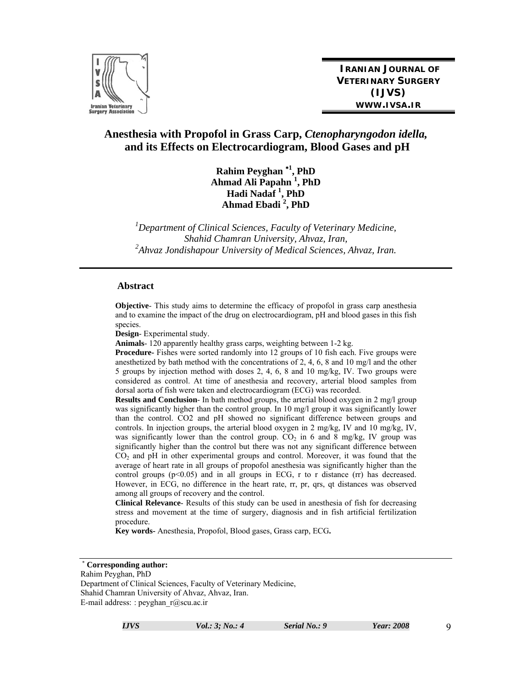

**IRANIAN JOURNAL OF VETERINARY SURGERY (IJVS) WWW.IVSA.IR**

# **Anesthesia with Propofol in Grass Carp,** *Ctenopharyngodon idella,*  **and its Effects on Electrocardiogram, Blood Gases and pH**

**Rahim Peyghan <sup>1</sup> , PhD Ahmad Ali Papahn 1 , PhD Hadi Nadaf 1 , PhD Ahmad Ebadi <sup>2</sup> , PhD** 

*1 Department of Clinical Sciences, Faculty of Veterinary Medicine, Shahid Chamran University, Ahvaz, Iran, 2 Ahvaz Jondishapour University of Medical Sciences, Ahvaz, Iran.* 

#### **Abstract**

**Objective**- This study aims to determine the efficacy of propofol in grass carp anesthesia and to examine the impact of the drug on electrocardiogram, pH and blood gases in this fish species.

**Design**- Experimental study.

**Animals**- 120 apparently healthy grass carps, weighting between 1-2 kg.

**Procedure-** Fishes were sorted randomly into 12 groups of 10 fish each. Five groups were anesthetized by bath method with the concentrations of 2, 4, 6, 8 and 10 mg/l and the other 5 groups by injection method with doses 2, 4, 6, 8 and 10 mg/kg, IV. Two groups were considered as control. At time of anesthesia and recovery, arterial blood samples from dorsal aorta of fish were taken and electrocardiogram (ECG) was recorded.

**Results and Conclusion**- In bath method groups, the arterial blood oxygen in 2 mg/l group was significantly higher than the control group. In 10 mg/l group it was significantly lower than the control. CO2 and pH showed no significant difference between groups and controls. In injection groups, the arterial blood oxygen in 2 mg/kg, IV and 10 mg/kg, IV, was significantly lower than the control group.  $CO<sub>2</sub>$  in 6 and 8 mg/kg, IV group was significantly higher than the control but there was not any significant difference between CO<sub>2</sub> and pH in other experimental groups and control. Moreover, it was found that the average of heart rate in all groups of propofol anesthesia was significantly higher than the control groups  $(p<0.05)$  and in all groups in ECG, r to r distance  $(rr)$  has decreased. However, in ECG, no difference in the heart rate, rr, pr, qrs, qt distances was observed among all groups of recovery and the control.

**Clinical Relevance**- Results of this study can be used in anesthesia of fish for decreasing stress and movement at the time of surgery, diagnosis and in fish artificial fertilization procedure.

**Key words-** Anesthesia, Propofol, Blood gases, Grass carp, ECG**.** 

Rahim Peyghan, PhD Department of Clinical Sciences, Faculty of Veterinary Medicine, Shahid Chamran University of Ahvaz, Ahvaz, Iran. E-mail address: : peyghan\_r@scu.ac.ir

**Corresponding author:**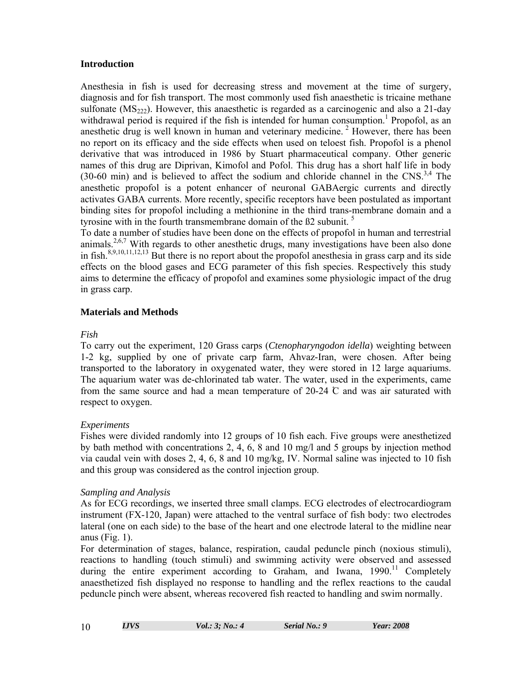#### **Introduction**

Anesthesia in fish is used for decreasing stress and movement at the time of surgery, diagnosis and for fish transport. The most commonly used fish anaesthetic is tricaine methane sulfonate  $(MS<sub>222</sub>)$ . However, this anaesthetic is regarded as a carcinogenic and also a 21-day withdrawal period is required if the fish is intended for human consumption.<sup>1</sup> Propofol, as an anesthetic drug is well known in human and veterinary medicine. 2 However, there has been no report on its efficacy and the side effects when used on teloest fish. Propofol is a phenol derivative that was introduced in 1986 by Stuart pharmaceutical company. Other generic names of this drug are Diprivan, Kimofol and Pofol. This drug has a short half life in body (30-60 min) and is believed to affect the sodium and chloride channel in the  $CNS$ .<sup>3,4</sup> The anesthetic propofol is a potent enhancer of neuronal GABAergic currents and directly activates GABA currents. More recently, specific receptors have been postulated as important binding sites for propofol including a methionine in the third trans-membrane domain and a tyrosine with in the fourth transmembrane domain of the ß2 subunit.<sup>5</sup>

To date a number of studies have been done on the effects of propofol in human and terrestrial animals.<sup>2,6,7</sup> With regards to other anesthetic drugs, many investigations have been also done in fish.8,9,10,11,12,13 But there is no report about the propofol anesthesia in grass carp and its side effects on the blood gases and ECG parameter of this fish species. Respectively this study aims to determine the efficacy of propofol and examines some physiologic impact of the drug in grass carp.

# **Materials and Methods**

# *Fish*

To carry out the experiment, 120 Grass carps (*Ctenopharyngodon idella*) weighting between 1-2 kg, supplied by one of private carp farm, Ahvaz-Iran, were chosen. After being transported to the laboratory in oxygenated water, they were stored in 12 large aquariums. The aquarium water was de-chlorinated tab water. The water, used in the experiments, came from the same source and had a mean temperature of  $20-24$  C and was air saturated with respect to oxygen.

# *Experiments*

Fishes were divided randomly into 12 groups of 10 fish each. Five groups were anesthetized by bath method with concentrations 2, 4, 6, 8 and 10 mg/l and 5 groups by injection method via caudal vein with doses 2, 4, 6, 8 and 10 mg/kg, IV. Normal saline was injected to 10 fish and this group was considered as the control injection group.

# *Sampling and Analysis*

As for ECG recordings, we inserted three small clamps. ECG electrodes of electrocardiogram instrument (FX-120, Japan) were attached to the ventral surface of fish body: two electrodes lateral (one on each side) to the base of the heart and one electrode lateral to the midline near anus (Fig. 1).

For determination of stages, balance, respiration, caudal peduncle pinch (noxious stimuli), reactions to handling (touch stimuli) and swimming activity were observed and assessed during the entire experiment according to Graham, and Iwana,  $1990$ <sup>11</sup> Completely anaesthetized fish displayed no response to handling and the reflex reactions to the caudal peduncle pinch were absent, whereas recovered fish reacted to handling and swim normally.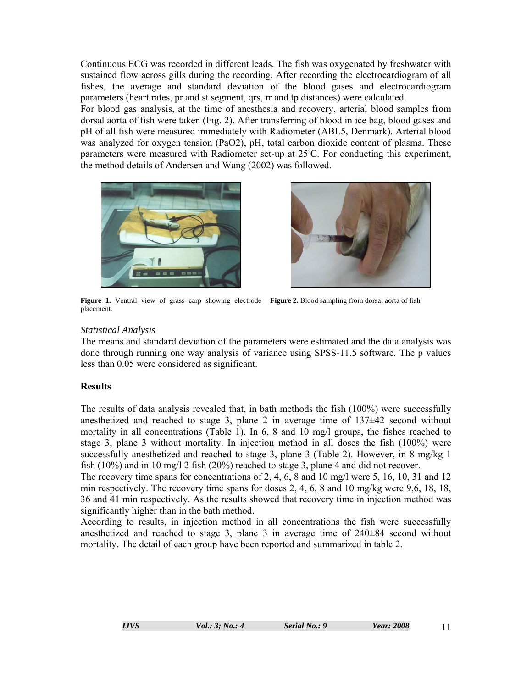Continuous ECG was recorded in different leads. The fish was oxygenated by freshwater with sustained flow across gills during the recording. After recording the electrocardiogram of all fishes, the average and standard deviation of the blood gases and electrocardiogram parameters (heart rates, pr and st segment, qrs, rr and tp distances) were calculated.

For blood gas analysis, at the time of anesthesia and recovery, arterial blood samples from dorsal aorta of fish were taken (Fig. 2). After transferring of blood in ice bag, blood gases and pH of all fish were measured immediately with Radiometer (ABL5, Denmark). Arterial blood was analyzed for oxygen tension (PaO2), pH, total carbon dioxide content of plasma. These parameters were measured with Radiometer set-up at 25°C. For conducting this experiment, the method details of Andersen and Wang (2002) was followed.





**Figure 1.** Ventral view of grass carp showing electrode **Figure 2.** Blood sampling from dorsal aorta of fish placement.

# *Statistical Analysis*

The means and standard deviation of the parameters were estimated and the data analysis was done through running one way analysis of variance using SPSS-11.5 software. The p values less than 0.05 were considered as significant.

# **Results**

The results of data analysis revealed that, in bath methods the fish (100%) were successfully anesthetized and reached to stage 3, plane 2 in average time of  $137\pm42$  second without mortality in all concentrations (Table 1). In 6, 8 and 10 mg/l groups, the fishes reached to stage 3, plane 3 without mortality. In injection method in all doses the fish (100%) were successfully anesthetized and reached to stage 3, plane 3 (Table 2). However, in 8 mg/kg 1 fish (10%) and in 10 mg/l 2 fish (20%) reached to stage 3, plane 4 and did not recover.

The recovery time spans for concentrations of 2, 4, 6, 8 and 10 mg/l were 5, 16, 10, 31 and 12 min respectively. The recovery time spans for doses 2, 4, 6, 8 and 10 mg/kg were 9,6, 18, 18, 36 and 41 min respectively. As the results showed that recovery time in injection method was significantly higher than in the bath method.

According to results, in injection method in all concentrations the fish were successfully anesthetized and reached to stage 3, plane 3 in average time of 240±84 second without mortality. The detail of each group have been reported and summarized in table 2.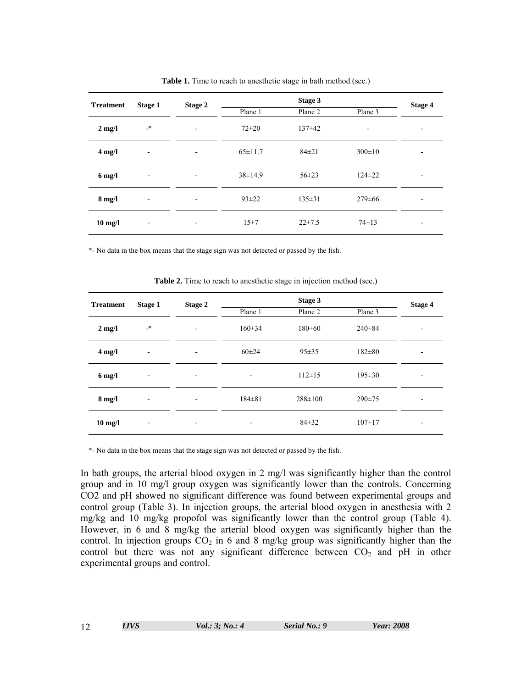| <b>Treatment</b>  | Stage 1                  | Stage 2                  |               | Stage 4      |              |   |
|-------------------|--------------------------|--------------------------|---------------|--------------|--------------|---|
|                   |                          |                          | Plane 1       | Plane 2      | Plane 3      |   |
| $2 \text{ mg/l}$  | _*                       | ۰                        | $72 + 20$     | $137\pm42$   |              | ٠ |
| $4 \text{ mg}/1$  | $\overline{\phantom{a}}$ | ۰                        | $65 \pm 11.7$ | $84 \pm 21$  | $300 \pm 10$ | ٠ |
| $6$ mg/l          | $\overline{\phantom{a}}$ | ۰                        | $38 \pm 14.9$ | $56 \pm 23$  | $124 \pm 22$ |   |
| $8 \text{ mg}/l$  | $\overline{\phantom{a}}$ | ۰                        | $93 \pm 22$   | $135 \pm 31$ | $279 \pm 66$ |   |
| $10 \text{ mg/l}$ | $\overline{\phantom{a}}$ | $\overline{\phantom{a}}$ | 15±7          | $22 \pm 7.5$ | $74 \pm 13$  | ٠ |

Table 1. Time to reach to anesthetic stage in bath method (sec.)

\*- No data in the box means that the stage sign was not detected or passed by the fish.

| <b>Treatment</b> | Stage 1                  | Stage 2                  | Stage 3      |               |              | Stage 4                  |
|------------------|--------------------------|--------------------------|--------------|---------------|--------------|--------------------------|
|                  |                          |                          | Plane 1      | Plane 2       | Plane 3      |                          |
| $2 \text{ mg}/l$ | _*                       | ۰                        | $160 \pm 34$ | $180 \pm 60$  | $240 \pm 84$ | ۰                        |
| $4$ mg/l         | $\overline{\phantom{a}}$ | ۰                        | $60 \pm 24$  | $95 \pm 35$   | $182 \pm 80$ | ۰                        |
| $6$ mg/l         | $\overline{\phantom{a}}$ | $\overline{\phantom{a}}$ | ۰            | $112 \pm 15$  | $195 \pm 30$ | $\overline{\phantom{a}}$ |
| $8$ mg/l         | $\overline{\phantom{0}}$ | $\overline{\phantom{a}}$ | $184 \pm 81$ | $288 \pm 100$ | $290 \pm 75$ | -                        |
| $10$ mg/l        | $\overline{\phantom{0}}$ | $\overline{\phantom{a}}$ | ٠            | $84 + 32$     | $107 \pm 17$ | $\overline{\phantom{a}}$ |

**Table 2.** Time to reach to anesthetic stage in injection method (sec.)

\*- No data in the box means that the stage sign was not detected or passed by the fish.

In bath groups, the arterial blood oxygen in 2 mg/l was significantly higher than the control group and in 10 mg/l group oxygen was significantly lower than the controls. Concerning CO2 and pH showed no significant difference was found between experimental groups and control group (Table 3). In injection groups, the arterial blood oxygen in anesthesia with 2 mg/kg and 10 mg/kg propofol was significantly lower than the control group (Table 4). However, in 6 and 8 mg/kg the arterial blood oxygen was significantly higher than the control. In injection groups  $CO<sub>2</sub>$  in 6 and 8 mg/kg group was significantly higher than the control but there was not any significant difference between  $CO<sub>2</sub>$  and pH in other experimental groups and control.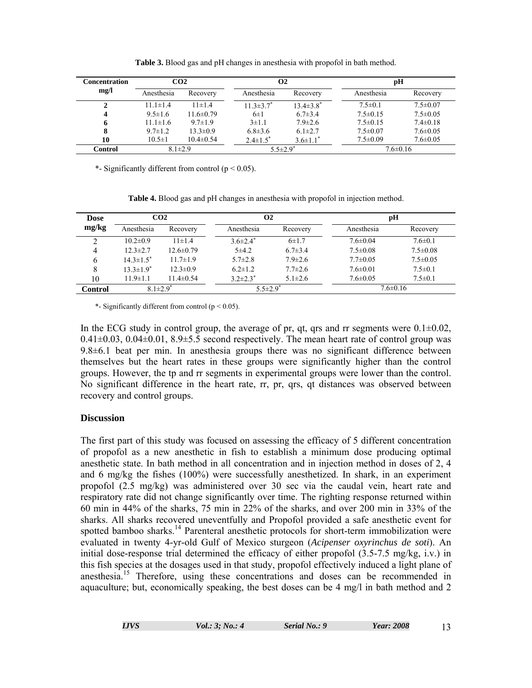| <b>Concentration</b>   | CO2            |                 | $\Omega$         |                  | рH             |                |
|------------------------|----------------|-----------------|------------------|------------------|----------------|----------------|
| mg/l                   | Anesthesia     | Recovery        | Anesthesia       | Recovery         | Anesthesia     | Recovery       |
|                        | $11.1 \pm 1.4$ | $11 \pm 1.4$    | $11.3 \pm 3.7^*$ | $13.4 \pm 3.8^*$ | $7.5 \pm 0.1$  | $7.5 \pm 0.07$ |
| $\boldsymbol{\Lambda}$ | $9.5 \pm 1.6$  | $11.6 \pm 0.79$ | $6\pm1$          | $6.7 \pm 3.4$    | $7.5 \pm 0.15$ | $7.5 \pm 0.05$ |
| 6                      | $11.1 \pm 1.6$ | $9.7 \pm 1.9$   | $3 \pm 1.1$      | $7.9 \pm 2.6$    | $7.5 \pm 0.15$ | $7.4 \pm 0.18$ |
| 8                      | $9.7 \pm 1.2$  | $13.3 \pm 0.9$  | $6.8 \pm 3.6$    | $6.1 \pm 2.7$    | $7.5 \pm 0.07$ | $7.6 \pm 0.05$ |
| 10                     | $10.5 \pm 1$   | $10.4 \pm 0.54$ | $2.4 \pm 1.5^*$  | $3.6 \pm 1.1^*$  | $7.5 \pm 0.09$ | $7.6 \pm 0.05$ |
| <b>Control</b>         | $8.1 \pm 2.9$  |                 | $5.5 \pm 2.9^*$  |                  | $7.6 \pm 0.16$ |                |

**Table 3.** Blood gas and pH changes in anesthesia with propofol in bath method.

\*- Significantly different from control ( $p < 0.05$ ).

| <b>Dose</b> | CO2                         |                 | <b>O2</b>       |               | рH             |                |
|-------------|-----------------------------|-----------------|-----------------|---------------|----------------|----------------|
| mg/kg       | Anesthesia                  | Recovery        | Anesthesia      | Recovery      | Anesthesia     | Recovery       |
|             | $10.2 \pm 0.9$              | $11 \pm 1.4$    | $3.6 \pm 2.4^*$ | $6 \pm 1.7$   | $7.6 \pm 0.04$ | $7.6 \pm 0.1$  |
| 4           | $12.3 \pm 2.7$              | $12.6 \pm 0.79$ | 5±4.2           | $6.7 \pm 3.4$ | $7.5 \pm 0.08$ | $7.5 \pm 0.08$ |
| 6           | $14.3 \pm 1.5$ <sup>*</sup> | $11.7 \pm 1.9$  | $5.7 \pm 2.8$   | $7.9 \pm 2.6$ | $7.7 \pm 0.05$ | $7.5 \pm 0.05$ |
|             | $13.3 \pm 1.9^*$            | $12.3 \pm 0.9$  | $6.2 \pm 1.2$   | $7.7 \pm 2.6$ | $7.6 \pm 0.01$ | $7.5 \pm 0.1$  |
| 10          | $11.9 \pm 1.1$              | $11.4 \pm 0.54$ | $3.2 \pm 2.3^*$ | $5.1 \pm 2.6$ | $7.6 \pm 0.05$ | $7.5 \pm 0.1$  |
| Control     | $8.1 \pm 2.9^*$             |                 | $5.5 \pm 2.9^*$ |               | $7.6 \pm 0.16$ |                |

**Table 4.** Blood gas and pH changes in anesthesia with propofol in injection method.

\*- Significantly different from control ( $p < 0.05$ ).

In the ECG study in control group, the average of pr, qt, qrs and rr segments were  $0.1\pm0.02$ ,  $0.41\pm0.03$ ,  $0.04\pm0.01$ ,  $8.9\pm5.5$  second respectively. The mean heart rate of control group was 9.8±6.1 beat per min. In anesthesia groups there was no significant difference between themselves but the heart rates in these groups were significantly higher than the control groups. However, the tp and rr segments in experimental groups were lower than the control. No significant difference in the heart rate, rr, pr, qrs, qt distances was observed between recovery and control groups.

# **Discussion**

The first part of this study was focused on assessing the efficacy of 5 different concentration of propofol as a new anesthetic in fish to establish a minimum dose producing optimal anesthetic state. In bath method in all concentration and in injection method in doses of 2, 4 and 6 mg/kg the fishes (100%) were successfully anesthetized. In shark, in an experiment propofol (2.5 mg/kg) was administered over 30 sec via the caudal vein, heart rate and respiratory rate did not change significantly over time. The righting response returned within 60 min in 44% of the sharks, 75 min in 22% of the sharks, and over 200 min in 33% of the sharks. All sharks recovered uneventfully and Propofol provided a safe anesthetic event for spotted bamboo sharks.<sup>14</sup> Parenteral anesthetic protocols for short-term immobilization were evaluated in twenty 4-yr-old Gulf of Mexico sturgeon (*Acipenser oxyrinchus de soti*). An initial dose-response trial determined the efficacy of either propofol (3.5-7.5 mg/kg, i.v.) in this fish species at the dosages used in that study, propofol effectively induced a light plane of anesthesia.15 Therefore, using these concentrations and doses can be recommended in aquaculture; but, economically speaking, the best doses can be 4 mg/l in bath method and 2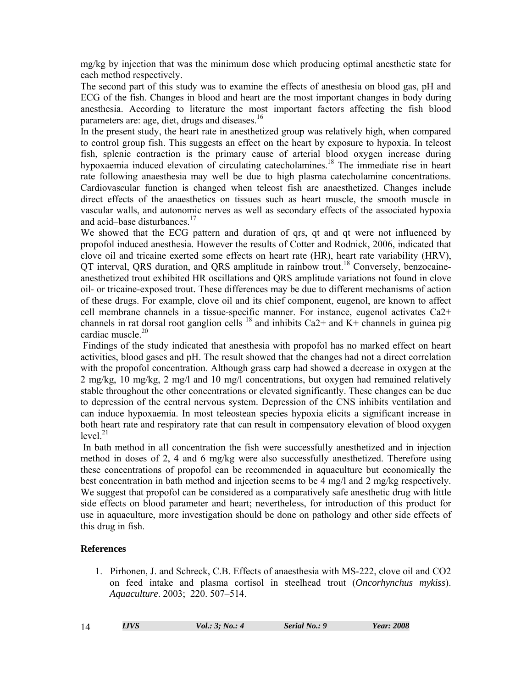mg/kg by injection that was the minimum dose which producing optimal anesthetic state for each method respectively.

The second part of this study was to examine the effects of anesthesia on blood gas, pH and ECG of the fish. Changes in blood and heart are the most important changes in body during anesthesia. According to literature the most important factors affecting the fish blood parameters are: age, diet, drugs and diseases.<sup>16</sup>

In the present study, the heart rate in anesthetized group was relatively high, when compared to control group fish. This suggests an effect on the heart by exposure to hypoxia. In teleost fish, splenic contraction is the primary cause of arterial blood oxygen increase during hypoxaemia induced elevation of circulating catecholamines.<sup>18</sup> The immediate rise in heart rate following anaesthesia may well be due to high plasma catecholamine concentrations. Cardiovascular function is changed when teleost fish are anaesthetized. Changes include direct effects of the anaesthetics on tissues such as heart muscle, the smooth muscle in vascular walls, and autonomic nerves as well as secondary effects of the associated hypoxia and acid–base disturbances.<sup>17</sup>

We showed that the ECG pattern and duration of qrs, qt and qt were not influenced by propofol induced anesthesia. However the results of Cotter and Rodnick, 2006, indicated that clove oil and tricaine exerted some effects on heart rate (HR), heart rate variability (HRV), QT interval, QRS duration, and QRS amplitude in rainbow trout.<sup>18</sup> Conversely, benzocaineanesthetized trout exhibited HR oscillations and QRS amplitude variations not found in clove oil- or tricaine-exposed trout. These differences may be due to different mechanisms of action of these drugs. For example, clove oil and its chief component, eugenol, are known to affect cell membrane channels in a tissue-specific manner. For instance, eugenol activates Ca2+ channels in rat dorsal root ganglion cells  $^{18}$  and inhibits Ca2+ and K+ channels in guinea pig cardiac muscle.<sup>20</sup>

 Findings of the study indicated that anesthesia with propofol has no marked effect on heart activities, blood gases and pH. The result showed that the changes had not a direct correlation with the propofol concentration. Although grass carp had showed a decrease in oxygen at the 2 mg/kg, 10 mg/kg, 2 mg/l and 10 mg/l concentrations, but oxygen had remained relatively stable throughout the other concentrations or elevated significantly. These changes can be due to depression of the central nervous system. Depression of the CNS inhibits ventilation and can induce hypoxaemia. In most teleostean species hypoxia elicits a significant increase in both heart rate and respiratory rate that can result in compensatory elevation of blood oxygen  $level.<sup>21</sup>$ 

 In bath method in all concentration the fish were successfully anesthetized and in injection method in doses of 2, 4 and 6 mg/kg were also successfully anesthetized. Therefore using these concentrations of propofol can be recommended in aquaculture but economically the best concentration in bath method and injection seems to be 4 mg/l and 2 mg/kg respectively. We suggest that propofol can be considered as a comparatively safe anesthetic drug with little side effects on blood parameter and heart; nevertheless, for introduction of this product for use in aquaculture, more investigation should be done on pathology and other side effects of this drug in fish.

#### **References**

1. Pirhonen, J. and Schreck, C.B. Effects of anaesthesia with MS-222, clove oil and CO2 on feed intake and plasma cortisol in steelhead trout (*Oncorhynchus mykiss*). *Aquaculture*. 2003; 220. 507–514.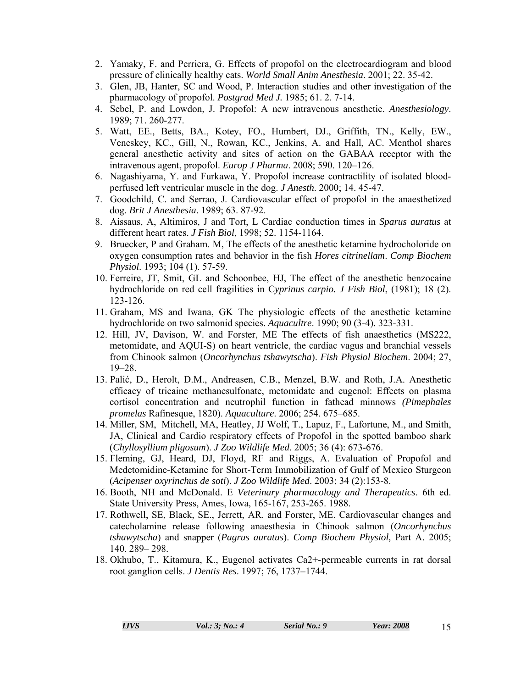- 2. Yamaky, F. and Perriera, G. Effects of propofol on the electrocardiogram and blood pressure of clinically healthy cats. *World Small Anim Anesthesia*. 2001; 22. 35-42.
- 3. Glen, JB, Hanter, SC and Wood, P. Interaction studies and other investigation of the pharmacology of propofol. *Postgrad Med J.* 1985; 61. 2. 7-14.
- 4. Sebel, P. and Lowdon, J. Propofol: A new intravenous anesthetic. *Anesthesiology*. 1989; 71. 260-277.
- 5. Watt, EE., Betts, BA., Kotey, FO., Humbert, DJ., Griffith, TN., Kelly, EW., Veneskey, KC., Gill, N., Rowan, KC., Jenkins, A. and Hall, AC. Menthol shares general anesthetic activity and sites of action on the GABAA receptor with the intravenous agent, propofol. *Europ J Pharma*. 2008; 590. 120–126.
- 6. Nagashiyama, Y. and Furkawa, Y. Propofol increase contractility of isolated bloodperfused left ventricular muscle in the dog. *J Anesth*. 2000; 14. 45-47.
- 7. Goodchild, C. and Serrao, J. Cardiovascular effect of propofol in the anaesthetized dog. *Brit J Anesthesia*. 1989; 63. 87-92.
- 8. Aissaus, A, Altimiros, J and Tort, L Cardiac conduction times in *Sparus auratus* at different heart rates. *J Fish Biol*, 1998; 52. 1154-1164.
- 9. Bruecker, P and Graham. M, The effects of the anesthetic ketamine hydrocholoride on oxygen consumption rates and behavior in the fish *Hores citrinellam*. *Comp Biochem Physiol*. 1993; 104 (1). 57-59.
- 10. Ferreire, JT, Smit, GL and Schoonbee, HJ, The effect of the anesthetic benzocaine hydrochloride on red cell fragilities in C*yprinus carpio. J Fish Biol*, (1981); 18 (2). 123-126.
- 11. Graham, MS and Iwana, GK The physiologic effects of the anesthetic ketamine hydrochloride on two salmonid species. *Aquacultre*. 1990; 90 (3-4). 323-331.
- 12. Hill, JV, Davison, W. and Forster, ME The effects of fish anaesthetics (MS222, metomidate, and AQUI-S) on heart ventricle, the cardiac vagus and branchial vessels from Chinook salmon (*Oncorhynchus tshawytscha*). *Fish Physiol Biochem*. 2004; 27, 19–28.
- 13. Palić, D., Herolt, D.M., Andreasen, C.B., Menzel, B.W. and Roth, J.A. Anesthetic efficacy of tricaine methanesulfonate, metomidate and eugenol: Effects on plasma cortisol concentration and neutrophil function in fathead minnows *(Pimephales promelas* Rafinesque, 1820). *Aquaculture*. 2006; 254. 675–685.
- 14. Miller, SM, Mitchell, MA, Heatley, JJ Wolf, T., Lapuz, F., Lafortune, M., and Smith, JA, Clinical and Cardio respiratory effects of Propofol in the spotted bamboo shark (*Chyllosyllium pligosum*). *J Zoo Wildlife Med*. 2005; 36 (4): 673-676.
- 15. Fleming, GJ, Heard, DJ, Floyd, RF and Riggs, A. Evaluation of Propofol and Medetomidine-Ketamine for Short-Term Immobilization of Gulf of Mexico Sturgeon (*Acipenser oxyrinchus de soti*). *J Zoo Wildlife Med*. 2003; 34 (2):153-8.
- 16. Booth, NH and McDonald. E *Veterinary pharmacology and Therapeutics*. 6th ed. State University Press, Ames, Iowa, 165-167, 253-265. 1988.
- 17. Rothwell, SE, Black, SE., Jerrett, AR. and Forster, ME. Cardiovascular changes and catecholamine release following anaesthesia in Chinook salmon (*Oncorhynchus tshawytscha*) and snapper (*Pagrus auratus*). *Comp Biochem Physiol,* Part A. 2005; 140. 289– 298.
- 18. Okhubo, T., Kitamura, K., Eugenol activates Ca2+-permeable currents in rat dorsal root ganglion cells. *J Dentis Res*. 1997; 76, 1737–1744.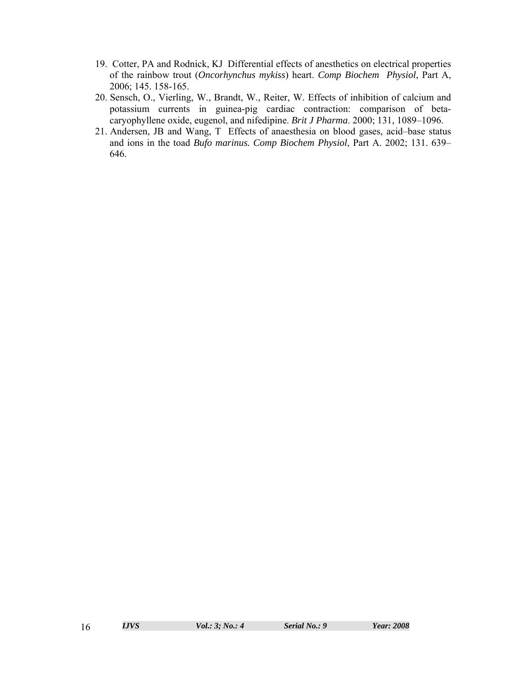- 19. Cotter, PA and Rodnick, KJ Differential effects of anesthetics on electrical properties of the rainbow trout (*Oncorhynchus mykiss*) heart. *Comp Biochem Physiol*, Part A, 2006; 145. 158-165.
- 20. Sensch, O., Vierling, W., Brandt, W., Reiter, W. Effects of inhibition of calcium and potassium currents in guinea-pig cardiac contraction: comparison of betacaryophyllene oxide, eugenol, and nifedipine. *Brit J Pharma*. 2000; 131, 1089–1096.
- 21. Andersen, JB and Wang, T Effects of anaesthesia on blood gases, acid–base status and ions in the toad *Bufo marinus. Comp Biochem Physiol*, Part A. 2002; 131. 639– 646.